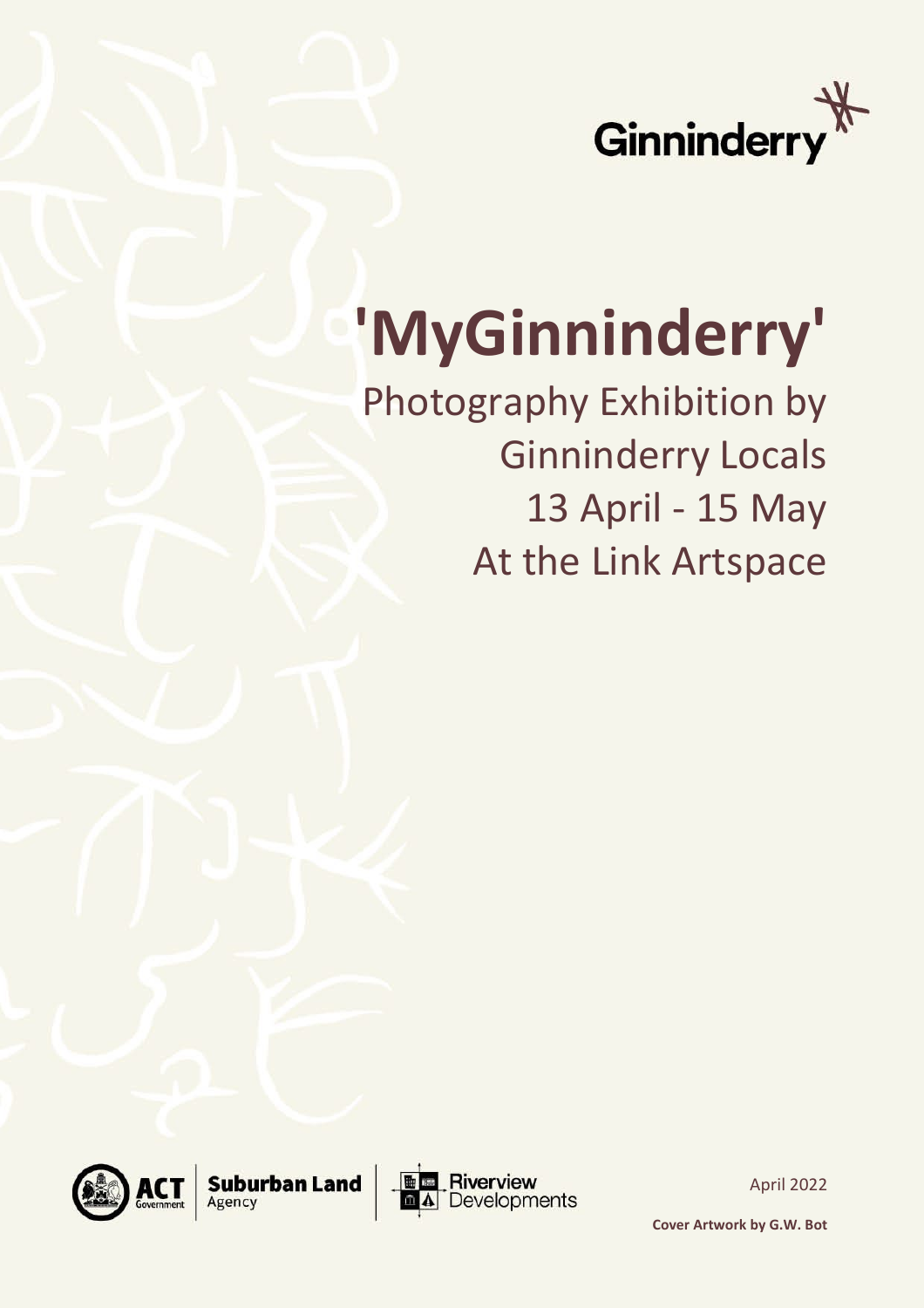

## **'MyGinninderry'**

Photography Exhibition by Ginninderry Locals 13 April - 15 May At the Link Artspace





April 2022

**Cover Artwork by G.W. Bot**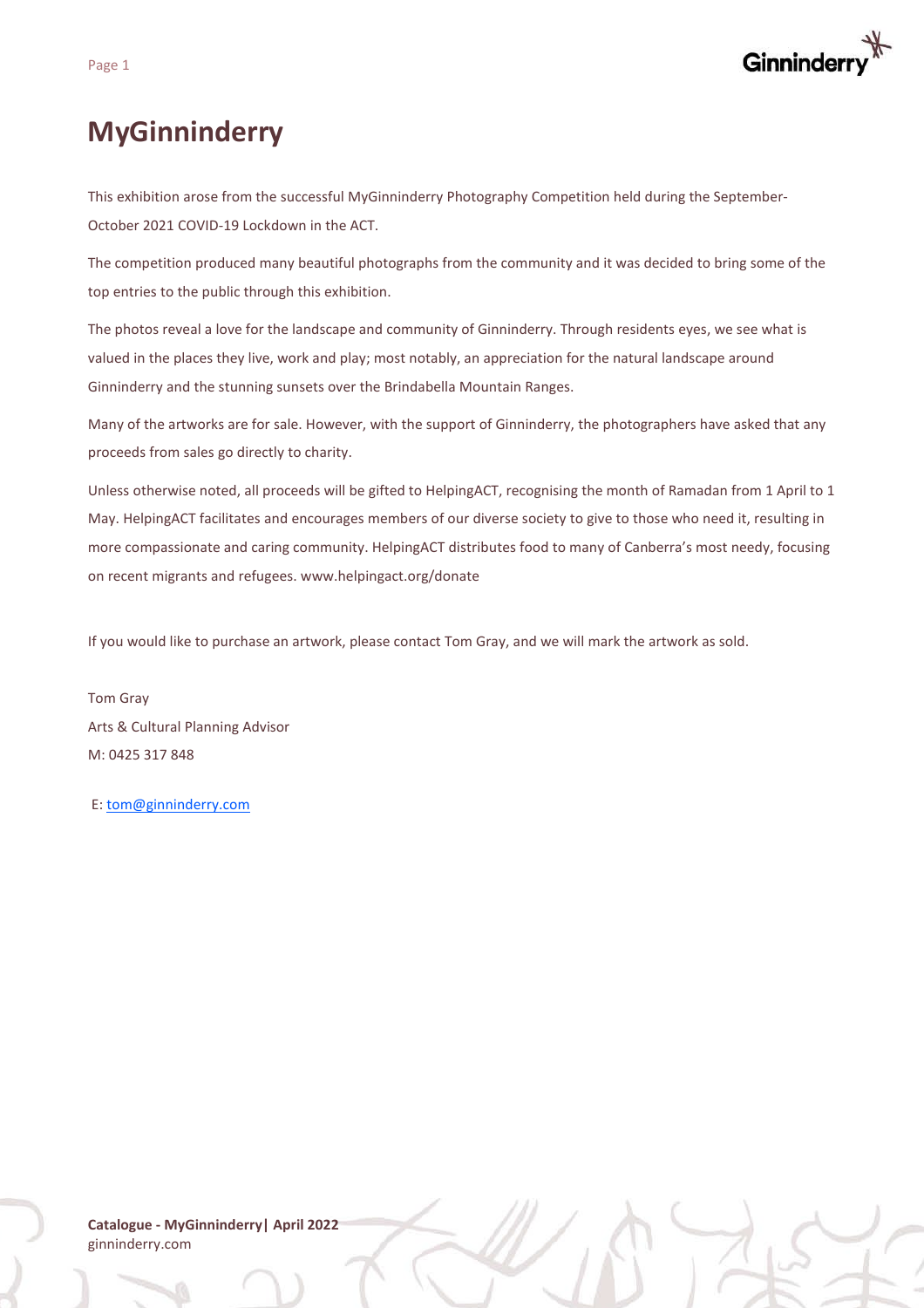

## **MyGinninderry**

This exhibition arose from the successful MyGinninderry Photography Competition held during the September-October 2021 COVID-19 Lockdown in the ACT.

The competition produced many beautiful photographs from the community and it was decided to bring some of the top entries to the public through this exhibition.

The photos reveal a love for the landscape and community of Ginninderry. Through residents eyes, we see what is valued in the places they live, work and play; most notably, an appreciation for the natural landscape around Ginninderry and the stunning sunsets over the Brindabella Mountain Ranges.

Many of the artworks are for sale. However, with the support of Ginninderry, the photographers have asked that any proceeds from sales go directly to charity.

Unless otherwise noted, all proceeds will be gifted to HelpingACT, recognising the month of Ramadan from 1 April to 1 May. HelpingACT facilitates and encourages members of our diverse society to give to those who need it, resulting in more compassionate and caring community. HelpingACT distributes food to many of Canberra's most needy, focusing on recent migrants and refugees. www.helpingact.org/donate

If you would like to purchase an artwork, please contact Tom Gray, and we will mark the artwork as sold.

Tom Gray Arts & Cultural Planning Advisor M: 0425 317 848

E: [tom@ginninderry.com](mailto:tom@ginninderry.com)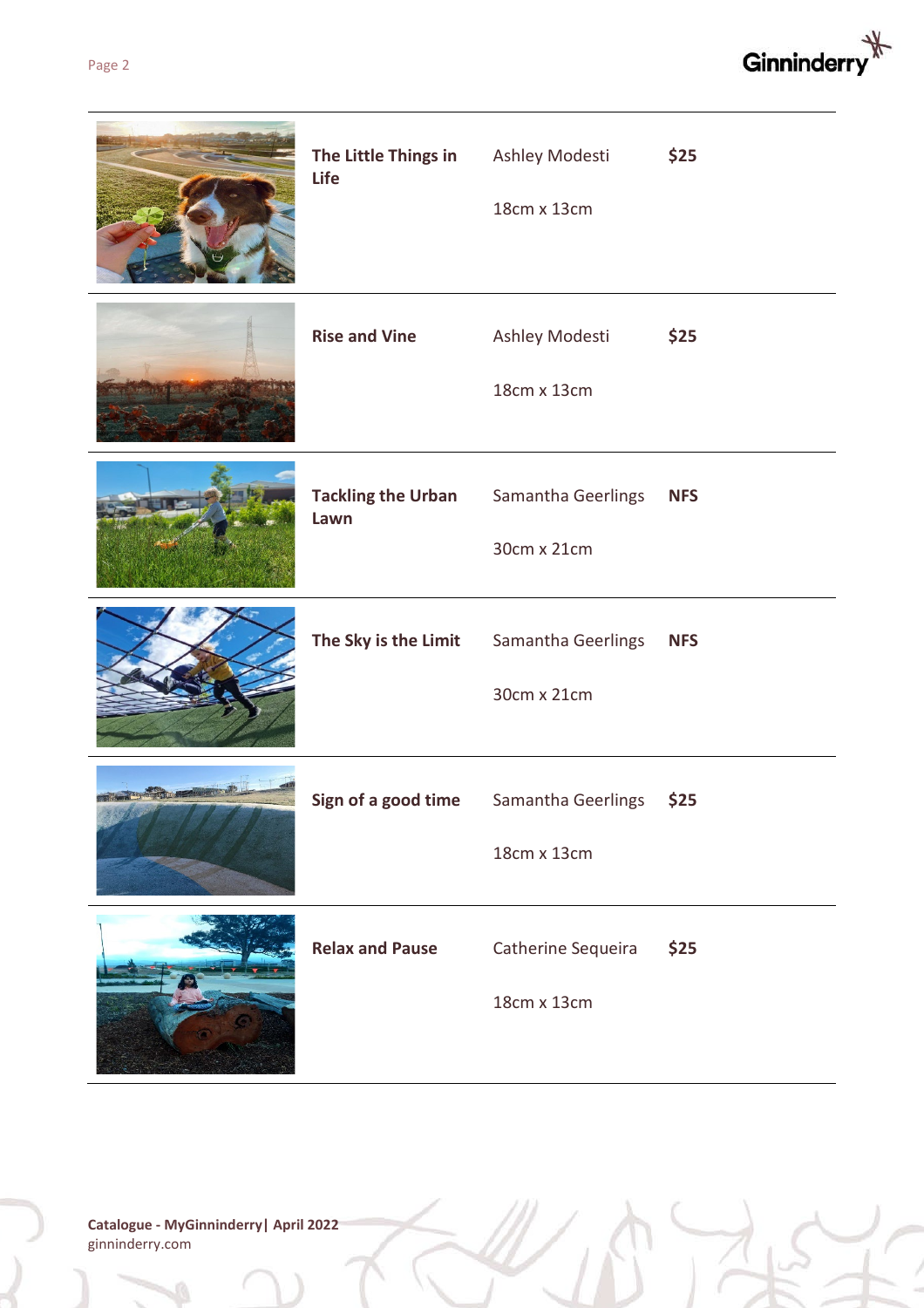

| The Little Things in<br>Life      | Ashley Modesti<br>18cm x 13cm     | \$25       |
|-----------------------------------|-----------------------------------|------------|
| <b>Rise and Vine</b>              | Ashley Modesti<br>18cm x 13cm     | \$25       |
| <b>Tackling the Urban</b><br>Lawn | Samantha Geerlings<br>30cm x 21cm | <b>NFS</b> |
| The Sky is the Limit              | Samantha Geerlings<br>30cm x 21cm | <b>NFS</b> |
| Sign of a good time               | Samantha Geerlings<br>18cm x 13cm | \$25       |
| <b>Relax and Pause</b>            | Catherine Sequeira<br>18cm x 13cm | \$25       |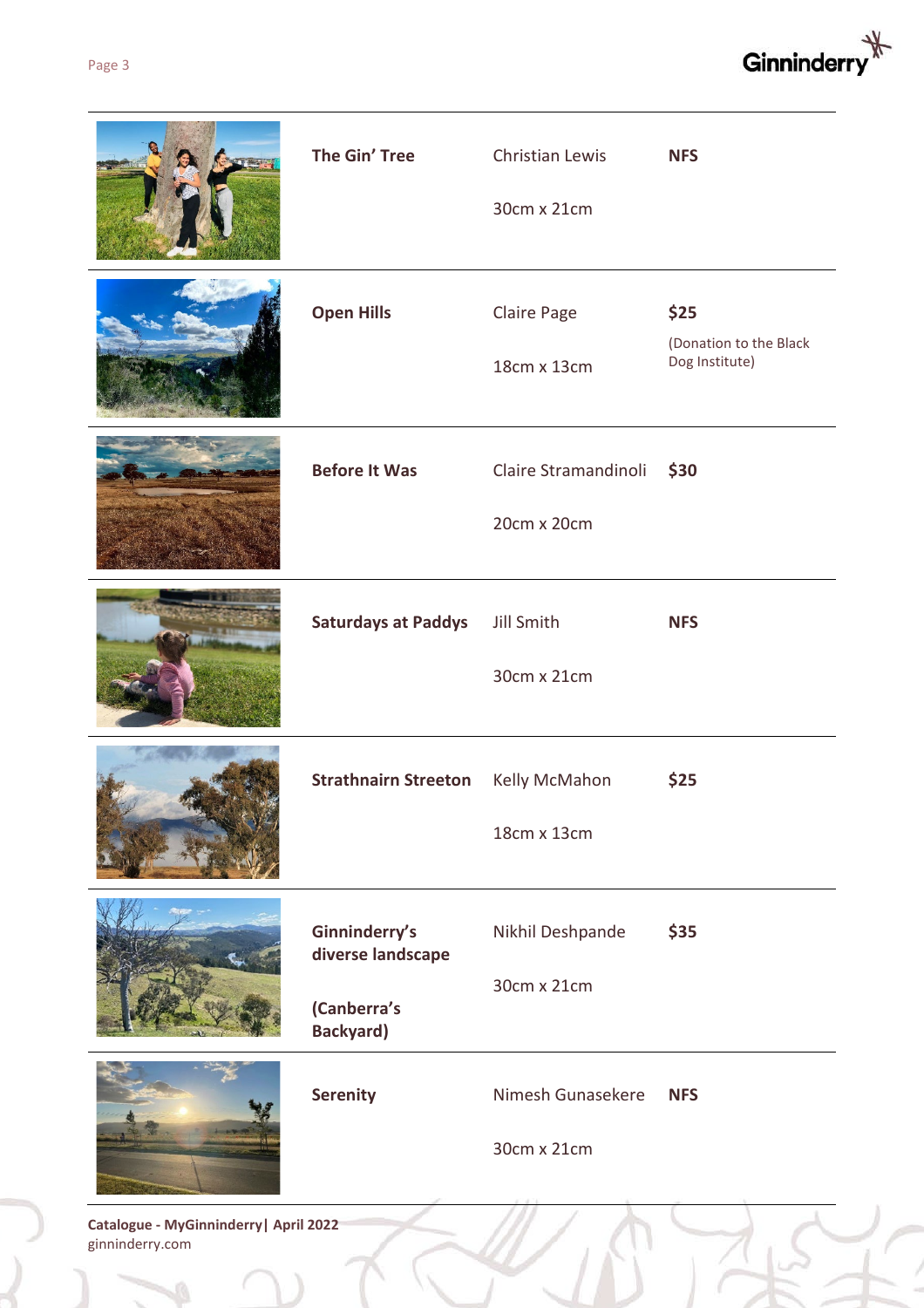

| The Gin' Tree                                                         | Christian Lewis<br>30cm x 21cm           | <b>NFS</b>                                       |
|-----------------------------------------------------------------------|------------------------------------------|--------------------------------------------------|
| <b>Open Hills</b>                                                     | Claire Page<br>18cm x 13cm               | \$25<br>(Donation to the Black<br>Dog Institute) |
| <b>Before It Was</b>                                                  | Claire Stramandinoli \$30<br>20cm x 20cm |                                                  |
| <b>Saturdays at Paddys</b>                                            | Jill Smith<br>30cm x 21cm                | <b>NFS</b>                                       |
| Strathnairn Streeton Kelly McMahon                                    | 18cm x 13cm                              | \$25                                             |
| Ginninderry's<br>diverse landscape<br>(Canberra's<br><b>Backyard)</b> | Nikhil Deshpande<br>30cm x 21cm          | \$35                                             |
| <b>Serenity</b>                                                       | Nimesh Gunasekere<br>30cm x 21cm         | <b>NFS</b>                                       |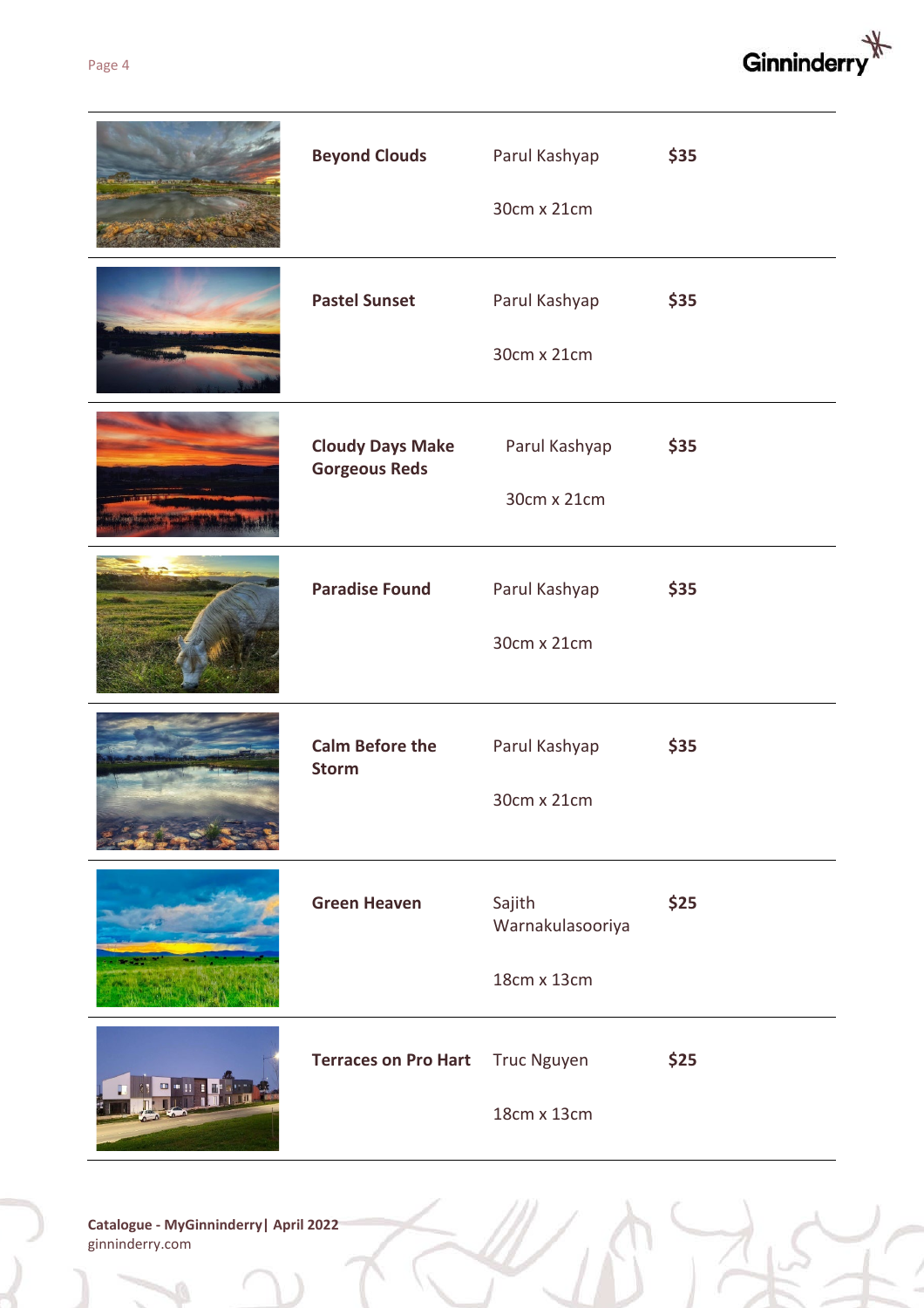

| <b>Beyond Clouds</b>                            | Parul Kashyap<br>30cm x 21cm              | \$35 |
|-------------------------------------------------|-------------------------------------------|------|
| <b>Pastel Sunset</b>                            | Parul Kashyap<br>30cm x 21cm              | \$35 |
| <b>Cloudy Days Make</b><br><b>Gorgeous Reds</b> | Parul Kashyap<br>30cm x 21cm              | \$35 |
| <b>Paradise Found</b>                           | Parul Kashyap<br>30cm x 21cm              | \$35 |
| <b>Calm Before the</b><br><b>Storm</b>          | Parul Kashyap<br>30cm x 21cm              | \$35 |
| <b>Green Heaven</b>                             | Sajith<br>Warnakulasooriya<br>18cm x 13cm | \$25 |
| <b>Terraces on Pro Hart</b>                     | <b>Truc Nguyen</b><br>18cm x 13cm         | \$25 |